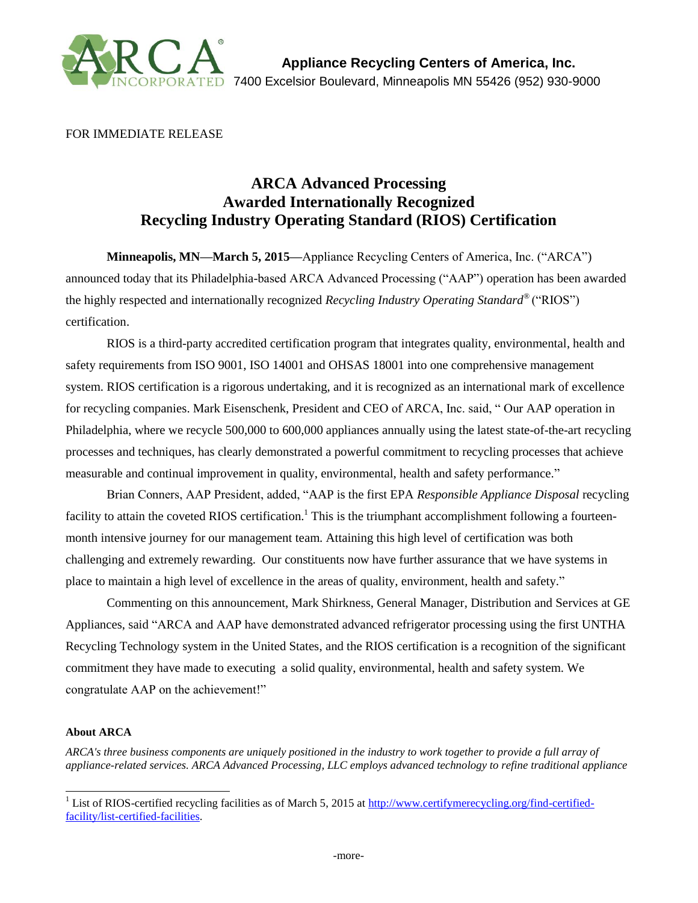

FOR IMMEDIATE RELEASE

## **ARCA Advanced Processing Awarded Internationally Recognized Recycling Industry Operating Standard (RIOS) Certification**

**Minneapolis, MN—March 5, 2015—**Appliance Recycling Centers of America, Inc. ("ARCA") announced today that its Philadelphia-based ARCA Advanced Processing ("AAP") operation has been awarded the highly respected and internationally recognized *Recycling Industry Operating Standard®* ("RIOS") certification.

RIOS is a third-party accredited certification program that integrates quality, environmental, health and safety requirements from ISO 9001, ISO 14001 and OHSAS 18001 into one comprehensive management system. RIOS certification is a rigorous undertaking, and it is recognized as an international mark of excellence for recycling companies. Mark Eisenschenk, President and CEO of ARCA, Inc. said, " Our AAP operation in Philadelphia, where we recycle 500,000 to 600,000 appliances annually using the latest state-of-the-art recycling processes and techniques, has clearly demonstrated a powerful commitment to recycling processes that achieve measurable and continual improvement in quality, environmental, health and safety performance."

Brian Conners, AAP President, added, "AAP is the first EPA *Responsible Appliance Disposal* recycling facility to attain the coveted RIOS certification.<sup>1</sup> This is the triumphant accomplishment following a fourteenmonth intensive journey for our management team. Attaining this high level of certification was both challenging and extremely rewarding. Our constituents now have further assurance that we have systems in place to maintain a high level of excellence in the areas of quality, environment, health and safety."

Commenting on this announcement, Mark Shirkness, General Manager, Distribution and Services at GE Appliances, said "ARCA and AAP have demonstrated advanced refrigerator processing using the first UNTHA Recycling Technology system in the United States, and the RIOS certification is a recognition of the significant commitment they have made to executing a solid quality, environmental, health and safety system. We congratulate AAP on the achievement!"

## **About ARCA**

*ARCA's three business components are uniquely positioned in the industry to work together to provide a full array of appliance-related services. ARCA Advanced Processing, LLC employs advanced technology to refine traditional appliance* 

l <sup>1</sup> List of RIOS-certified recycling facilities as of March 5, 2015 at [http://www.certifymerecycling.org/find-certified](http://www.certifymerecycling.org/find-certified-facility/list-certified-facilities)[facility/list-certified-facilities.](http://www.certifymerecycling.org/find-certified-facility/list-certified-facilities)